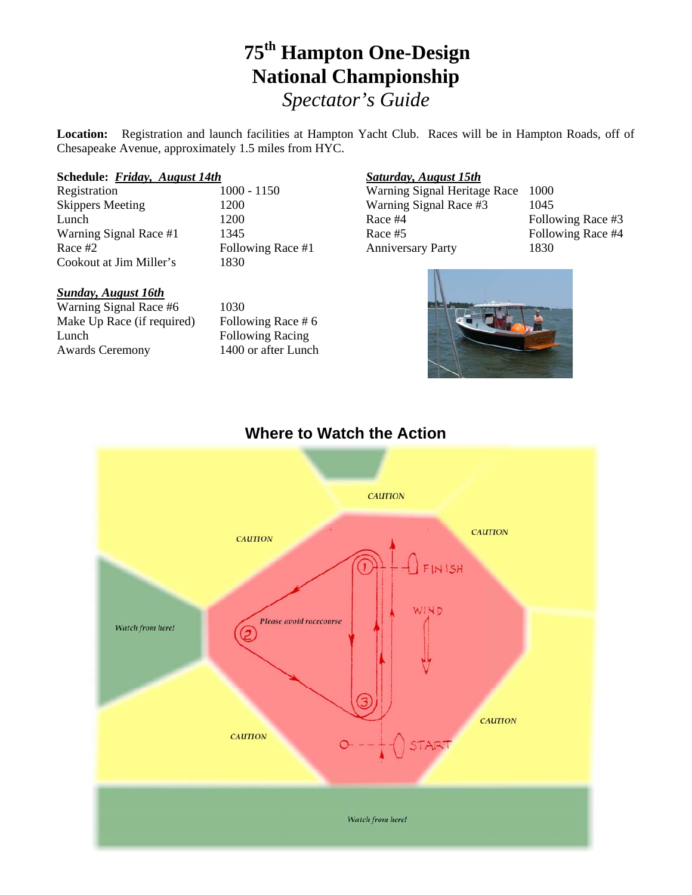# **75th Hampton One-Design National Championship** *Spectator's Guide*

**Location:** Registration and launch facilities at Hampton Yacht Club. Races will be in Hampton Roads, off of Chesapeake Avenue, approximately 1.5 miles from HYC.

#### **Schedule:** *Friday, August 14th*

Registration 1000 - 1150 Skippers Meeting 1200 Lunch 1200 Warning Signal Race #1 1345 Race #2 Following Race #1 Cookout at Jim Miller's 1830

#### *Sunday, August 16th*

Warning Signal Race #6 1030 Make Up Race (if required) Following Race  $# 6$ Lunch Following Racing Awards Ceremony 1400 or after Lunch

#### *Saturday, August 15th*

Warning Signal Heritage Race 1000 Warning Signal Race #3 1045 Race #4 Following Race #3 Race #5 Following Race #4 Anniversary Party 1830





### **Where to Watch the Action**